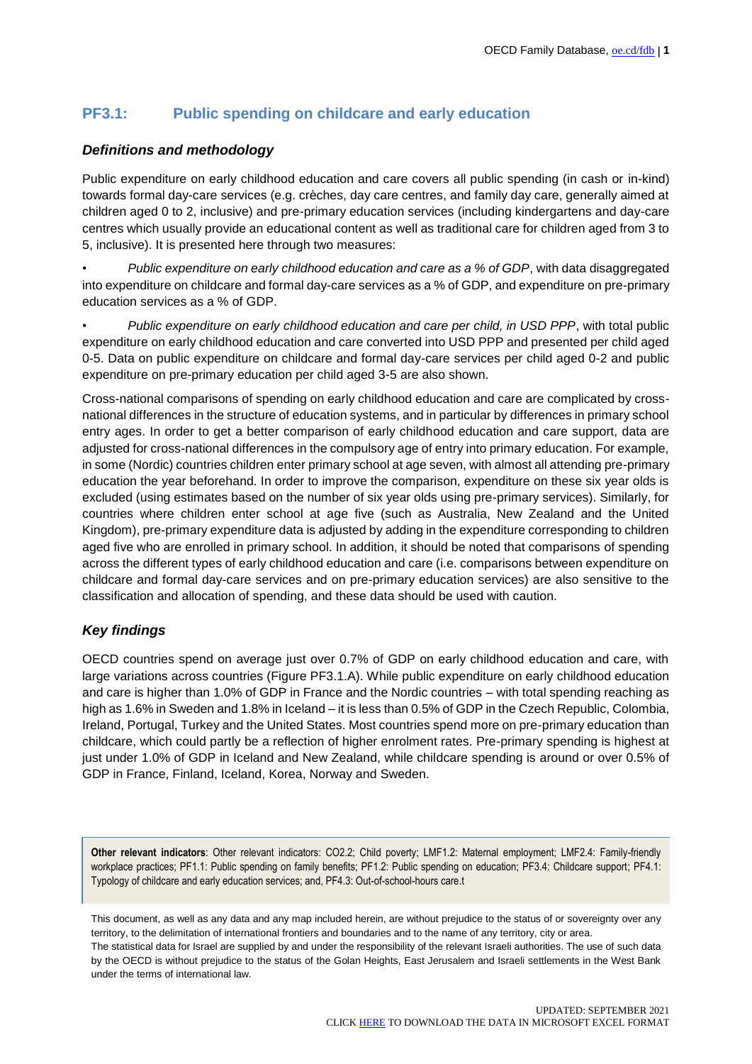# **PF3.1: Public spending on childcare and early education**

## *Definitions and methodology*

Public expenditure on early childhood education and care covers all public spending (in cash or in-kind) towards formal day-care services (e.g. crèches, day care centres, and family day care, generally aimed at children aged 0 to 2, inclusive) and pre-primary education services (including kindergartens and day-care centres which usually provide an educational content as well as traditional care for children aged from 3 to 5, inclusive). It is presented here through two measures:

• *Public expenditure on early childhood education and care as a % of GDP*, with data disaggregated into expenditure on childcare and formal day-care services as a % of GDP, and expenditure on pre-primary education services as a % of GDP.

• *Public expenditure on early childhood education and care per child, in USD PPP*, with total public expenditure on early childhood education and care converted into USD PPP and presented per child aged 0-5. Data on public expenditure on childcare and formal day-care services per child aged 0-2 and public expenditure on pre-primary education per child aged 3-5 are also shown.

Cross-national comparisons of spending on early childhood education and care are complicated by crossnational differences in the structure of education systems, and in particular by differences in primary school entry ages. In order to get a better comparison of early childhood education and care support, data are adjusted for cross-national differences in the compulsory age of entry into primary education. For example, in some (Nordic) countries children enter primary school at age seven, with almost all attending pre-primary education the year beforehand. In order to improve the comparison, expenditure on these six year olds is excluded (using estimates based on the number of six year olds using pre-primary services). Similarly, for countries where children enter school at age five (such as Australia, New Zealand and the United Kingdom), pre-primary expenditure data is adjusted by adding in the expenditure corresponding to children aged five who are enrolled in primary school. In addition, it should be noted that comparisons of spending across the different types of early childhood education and care (i.e. comparisons between expenditure on childcare and formal day-care services and on pre-primary education services) are also sensitive to the classification and allocation of spending, and these data should be used with caution.

### *Key findings*

OECD countries spend on average just over 0.7% of GDP on early childhood education and care, with large variations across countries (Figure PF3.1.A). While public expenditure on early childhood education and care is higher than 1.0% of GDP in France and the Nordic countries – with total spending reaching as high as 1.6% in Sweden and 1.8% in Iceland – it is less than 0.5% of GDP in the Czech Republic, Colombia, Ireland, Portugal, Turkey and the United States. Most countries spend more on pre-primary education than childcare, which could partly be a reflection of higher enrolment rates. Pre-primary spending is highest at just under 1.0% of GDP in Iceland and New Zealand, while childcare spending is around or over 0.5% of GDP in France, Finland, Iceland, Korea, Norway and Sweden.

**Other relevant indicators**: Other relevant indicators: CO2.2; Child poverty; LMF1.2: Maternal employment; LMF2.4: Family-friendly workplace practices; PF1.1: Public spending on family benefits; PF1.2: Public spending on education; PF3.4: Childcare support; PF4.1: Typology of childcare and early education services; and, PF4.3: Out-of-school-hours care.t

This document, as well as any data and any map included herein, are without prejudice to the status of or sovereignty over any territory, to the delimitation of international frontiers and boundaries and to the name of any territory, city or area. The statistical data for Israel are supplied by and under the responsibility of the relevant Israeli authorities. The use of such data by the OECD is without prejudice to the status of the Golan Heights, East Jerusalem and Israeli settlements in the West Bank under the terms of international law.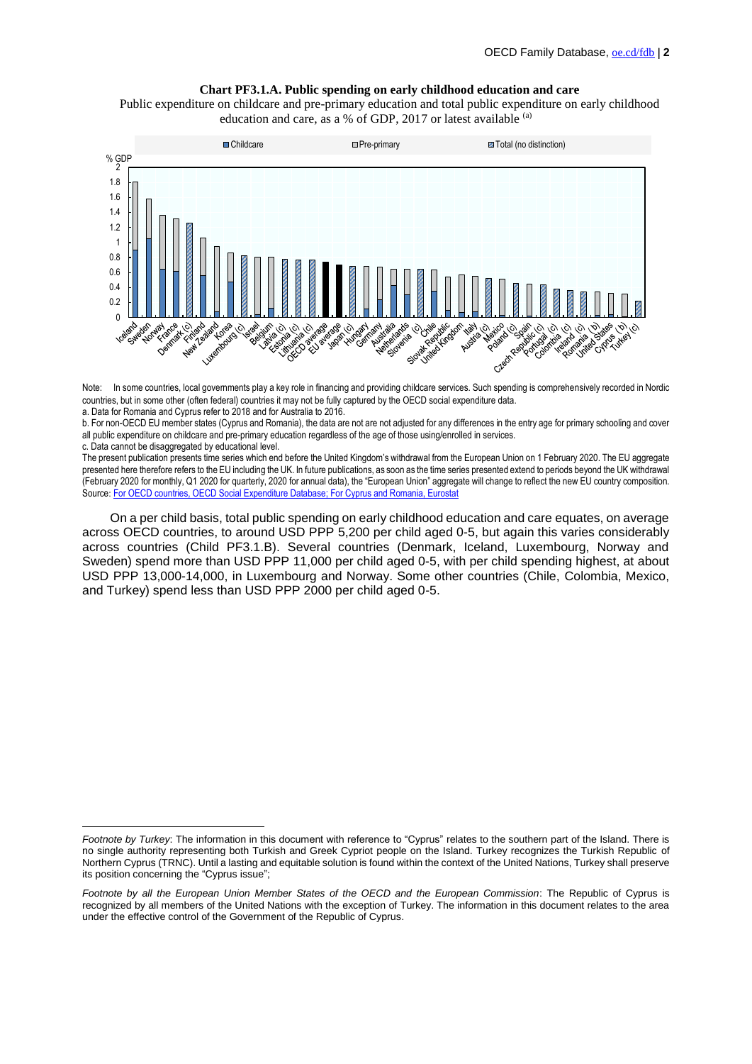#### **Chart PF3.1.A. Public spending on early childhood education and care**

Public expenditure on childcare and pre-primary education and total public expenditure on early childhood education and care, as a % of GDP, 2017 or latest available (a)



Note: <sup>1</sup> In some countries, local governments play a key role in financing and providing childcare services. Such spending is comprehensively recorded in Nordic countries, but in some other (often federal) countries it may not be fully captured by the OECD social expenditure data.

a. Data for Romania and Cyprus refer to 2018 and for Australia to 2016.

b. For non-OECD EU member states (Cyprus and Romania), the data are not are not adjusted for any differences in the entry age for primary schooling and cover all public expenditure on childcare and pre-primary education regardless of the age of those using/enrolled in services.

c. Data cannot be disaggregated by educational level.

 $\overline{a}$ 

The present publication presents time series which end before the United Kingdom's withdrawal from the European Union on 1 February 2020. The EU aggregate presented here therefore refers to the EU including the UK. In future publications, as soon as the time series presented extend to periods beyond the UK withdrawal (February 2020 for monthly, Q1 2020 for quarterly, 2020 for annual data), the "European Union" aggregate will change to reflect the new EU country composition. Source: [For OECD countries, OECD Social Expenditure Database;](https://www.oecd.org/social/expenditure.htm) For Cyprus [and Romania, Eurostat](http://ec.europa.eu/eurostat/web/main/home)

On a per child basis, total public spending on early childhood education and care equates, on average across OECD countries, to around USD PPP 5,200 per child aged 0-5, but again this varies considerably across countries (Child PF3.1.B). Several countries (Denmark, Iceland, Luxembourg, Norway and Sweden) spend more than USD PPP 11,000 per child aged 0-5, with per child spending highest, at about USD PPP 13,000-14,000, in Luxembourg and Norway. Some other countries (Chile, Colombia, Mexico, and Turkey) spend less than USD PPP 2000 per child aged 0-5.

*Footnote by Turkey*: The information in this document with reference to "Cyprus" relates to the southern part of the Island. There is no single authority representing both Turkish and Greek Cypriot people on the Island. Turkey recognizes the Turkish Republic of Northern Cyprus (TRNC). Until a lasting and equitable solution is found within the context of the United Nations, Turkey shall preserve its position concerning the "Cyprus issue";

*Footnote by all the European Union Member States of the OECD and the European Commission*: The Republic of Cyprus is recognized by all members of the United Nations with the exception of Turkey. The information in this document relates to the area under the effective control of the Government of the Republic of Cyprus.